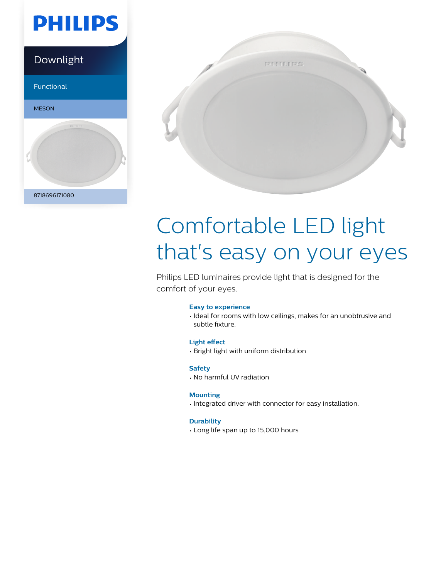

### Downlight

Functional





# Comfortable LED light that's easy on your eyes

Philips LED luminaires provide light that is designed for the comfort of your eyes.

#### **Easy to experience**

• Ideal for rooms with low ceilings, makes for an unobtrusive and subtle fixture.

#### **Light effect**

• Bright light with uniform distribution

#### **Safety**

• No harmful UV radiation

#### **Mounting**

• Integrated driver with connector for easy installation.

#### **Durability**

• Long life span up to 15,000 hours